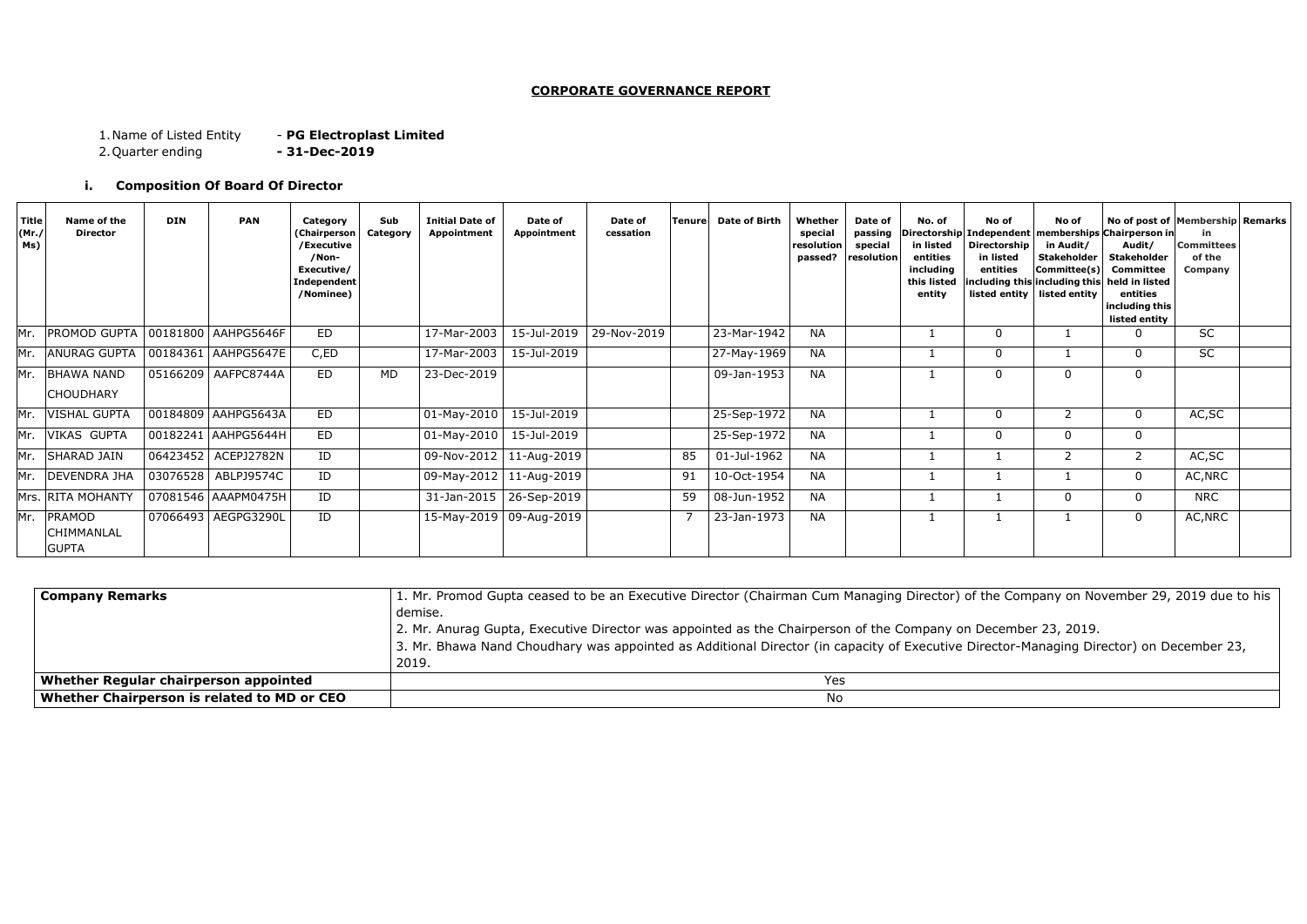#### **CORPORATE GOVERNANCE REPORT**

1.Name of Listed Entity - **PG Electroplast Limited**

2.Quarter ending **- 31-Dec-2019**

### **i. Composition Of Board Of Director**

| <b>Company Remarks</b>                      | 1. Mr. Promod Gupta ceased to be an Executive Director (Chairman Cum Managing Director) of t    |  |  |  |  |
|---------------------------------------------|-------------------------------------------------------------------------------------------------|--|--|--|--|
|                                             | demise.                                                                                         |  |  |  |  |
|                                             | 2. Mr. Anurag Gupta, Executive Director was appointed as the Chairperson of the Company on De   |  |  |  |  |
|                                             | 3. Mr. Bhawa Nand Choudhary was appointed as Additional Director (in capacity of Executive Dire |  |  |  |  |
|                                             | 2019.                                                                                           |  |  |  |  |
| Whether Regular chairperson appointed       | <b>Yes</b>                                                                                      |  |  |  |  |
| Whether Chairperson is related to MD or CEO | No                                                                                              |  |  |  |  |

the Company on November 29, 2019 due to his

ecember 23, 2019. rector-Managing Director) on December 23,

| Title<br>(Mr.7)<br>Ms) | Name of the<br><b>Director</b>        | <b>DIN</b> | <b>PAN</b>            | Category<br>(Chairperson<br>/Executive<br>/Non-<br>Executive/<br>Independent<br>/Nominee) | Sub<br>Category | <b>Initial Date of</b><br>Appointment | Date of<br>Appointment | Date of<br>cessation | <b>Tenure</b>  | <b>Date of Birth</b> | Whether<br>special<br>resolution<br>passed? | Date of<br>passing<br>special<br>resolution | No. of<br>in listed<br>entities<br>including<br>this listed<br>entity | No of<br><b>Directorship</b><br>in listed<br>entities | No of<br>in Audit/<br><b>Stakeholder</b><br>Committee(s)<br>listed entity $\vert$ listed entity | No of post of Membership Remarks<br> irectorship Independent memberships Chairperson in<br>Audit/<br><b>Stakeholder</b><br>Committee<br>including this including this held in listed<br>entities<br>including this<br>listed entity | in.<br><b>Committees</b><br>of the<br>Company |  |
|------------------------|---------------------------------------|------------|-----------------------|-------------------------------------------------------------------------------------------|-----------------|---------------------------------------|------------------------|----------------------|----------------|----------------------|---------------------------------------------|---------------------------------------------|-----------------------------------------------------------------------|-------------------------------------------------------|-------------------------------------------------------------------------------------------------|-------------------------------------------------------------------------------------------------------------------------------------------------------------------------------------------------------------------------------------|-----------------------------------------------|--|
| Mr.                    | PROMOD GUPTA   00181800   AAHPG5646F  |            |                       | <b>ED</b>                                                                                 |                 | 17-Mar-2003                           | 15-Jul-2019            | 29-Nov-2019          |                | 23-Mar-1942          | <b>NA</b>                                   |                                             |                                                                       | -0                                                    |                                                                                                 | 0                                                                                                                                                                                                                                   | <b>SC</b>                                     |  |
| Mr.                    | ANURAG GUPTA   00184361   AAHPG5647E  |            |                       | C,ED                                                                                      |                 | 17-Mar-2003                           | 15-Jul-2019            |                      |                | 27-May-1969          | <b>NA</b>                                   |                                             |                                                                       | $\overline{0}$                                        |                                                                                                 | 0                                                                                                                                                                                                                                   | <b>SC</b>                                     |  |
| Mr.                    | <b>BHAWA NAND</b><br><b>CHOUDHARY</b> |            | 05166209 AAFPC8744A   | ED                                                                                        | <b>MD</b>       | 23-Dec-2019                           |                        |                      |                | 09-Jan-1953          | <b>NA</b>                                   |                                             |                                                                       | $\overline{0}$                                        |                                                                                                 | 0                                                                                                                                                                                                                                   |                                               |  |
|                        | Mr. VISHAL GUPTA                      |            | 00184809 AAHPG5643A   | ED                                                                                        |                 | 01-May-2010                           | 15-Jul-2019            |                      |                | 25-Sep-1972          | <b>NA</b>                                   |                                             |                                                                       | $\Omega$                                              | 2                                                                                               | $\mathbf 0$                                                                                                                                                                                                                         | AC, SC                                        |  |
| Mr.                    | <b>VIKAS GUPTA</b>                    |            | 00182241 AAHPG5644H   | <b>ED</b>                                                                                 |                 | 01-May-2010                           | 15-Jul-2019            |                      |                | 25-Sep-1972          | <b>NA</b>                                   |                                             |                                                                       | -0                                                    | $\Omega$                                                                                        | $\mathbf 0$                                                                                                                                                                                                                         |                                               |  |
|                        | Mr. SHARAD JAIN                       |            | 06423452 ACEPJ2782N   | ID                                                                                        |                 | 09-Nov-2012   11-Aug-2019             |                        |                      | 85             | 01-Jul-1962          | <b>NA</b>                                   |                                             |                                                                       |                                                       | 2                                                                                               | $2^{\circ}$                                                                                                                                                                                                                         | AC, SC                                        |  |
|                        | Mr. DEVENDRA JHA                      |            | 03076528   ABLPJ9574C | ID                                                                                        |                 | 09-May-2012   11-Aug-2019             |                        |                      | 91             | 10-Oct-1954          | <b>NA</b>                                   |                                             |                                                                       |                                                       |                                                                                                 | $\mathbf{0}$                                                                                                                                                                                                                        | AC, NRC                                       |  |
|                        | Mrs. RITA MOHANTY                     |            | 07081546 AAAPM0475H   | ID                                                                                        |                 | 31-Jan-2015                           | 26-Sep-2019            |                      | 59             | 08-Jun-1952          | <b>NA</b>                                   |                                             |                                                                       |                                                       | $\Omega$                                                                                        | 0                                                                                                                                                                                                                                   | <b>NRC</b>                                    |  |
| Mr.                    | PRAMOD<br>CHIMMANLAL<br><b>GUPTA</b>  |            | 07066493   AEGPG3290L | ID                                                                                        |                 | 15-May-2019   09-Aug-2019             |                        |                      | $\overline{7}$ | 23-Jan-1973          | <b>NA</b>                                   |                                             |                                                                       |                                                       |                                                                                                 | $\Omega$                                                                                                                                                                                                                            | AC, NRC                                       |  |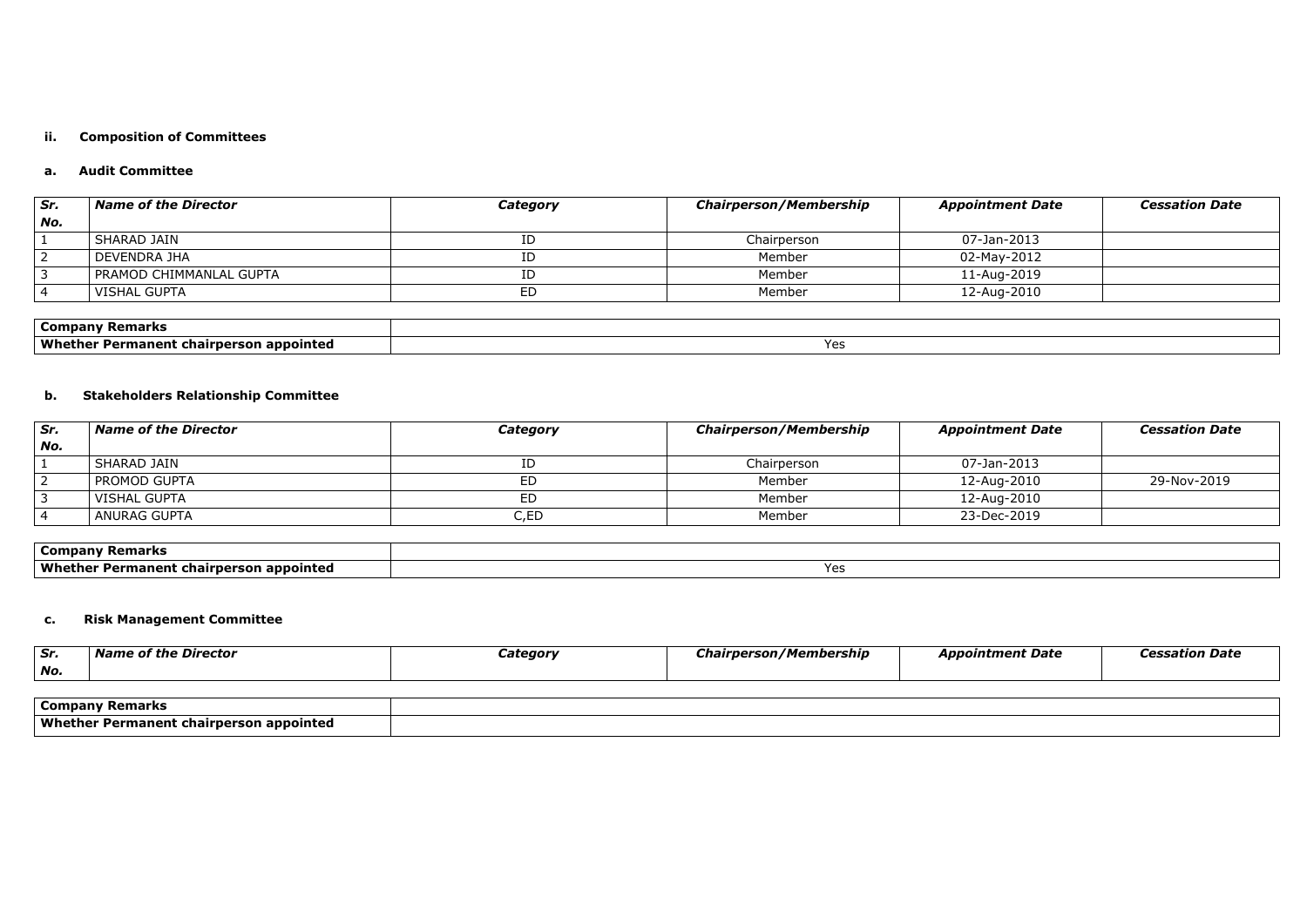# **ii. Composition of Committees**

### **a. Audit Committee**

| Sr. | <b>Name of the Director</b> | <b>Category</b> | <b>Chairperson/Membership</b> | <b>Appointment Date</b> | <b>Cessation Date</b> |
|-----|-----------------------------|-----------------|-------------------------------|-------------------------|-----------------------|
| No. |                             |                 |                               |                         |                       |
|     | <b>SHARAD JAIN</b>          |                 | Chairperson                   | 07-Jan-2013             |                       |
|     | DEVENDRA JHA                |                 | Member                        | 02-May-2012             |                       |
|     | PRAMOD CHIMMANLAL GUPTA     |                 | Member                        | 11-Aug-2019             |                       |
|     | <b>VISHAL GUPTA</b>         | ED              | Member                        | 12-Aug-2010             |                       |

| <b>Company Remarks</b>                  |                            |
|-----------------------------------------|----------------------------|
| Whether Permanent chairperson appointed | $\mathsf{v}_{\mathsf{ac}}$ |

# **b. Stakeholders Relationship Committee**

| Sr. | <b>Name of the Director</b> | Category | <b>Chairperson/Membership</b> | <b>Appointment Date</b> | <b>Cessation Date</b> |
|-----|-----------------------------|----------|-------------------------------|-------------------------|-----------------------|
| No. |                             |          |                               |                         |                       |
|     | SHARAD JAIN                 | ID       | Chairperson                   | 07-Jan-2013             |                       |
|     | PROMOD GUPTA                | ED       | Member                        | 12-Aug-2010             | 29-Nov-2019           |
|     | l VISHAL GUPTA              | ED       | Member                        | 12-Aug-2010             |                       |
|     | ANURAG GUPTA                | C.ED     | Member                        | 23-Dec-2019             |                       |

| <b>Company Remarks</b>                         |     |
|------------------------------------------------|-----|
| <b>Whether Permanent chairperson appointed</b> | Ye. |

# **c. Risk Management Committee**

| Sr. | Director<br>wame or the | .<br><i>Jategory</i> | ' Membership<br>ırneı | Appointment Date |  |
|-----|-------------------------|----------------------|-----------------------|------------------|--|
| No. |                         |                      |                       |                  |  |

| ' Company<br>' Remarks                          |  |
|-------------------------------------------------|--|
| Whether<br>t chairperson appointed<br>Permanent |  |

| tment Date | <b>Cessation Date</b> |
|------------|-----------------------|
|            |                       |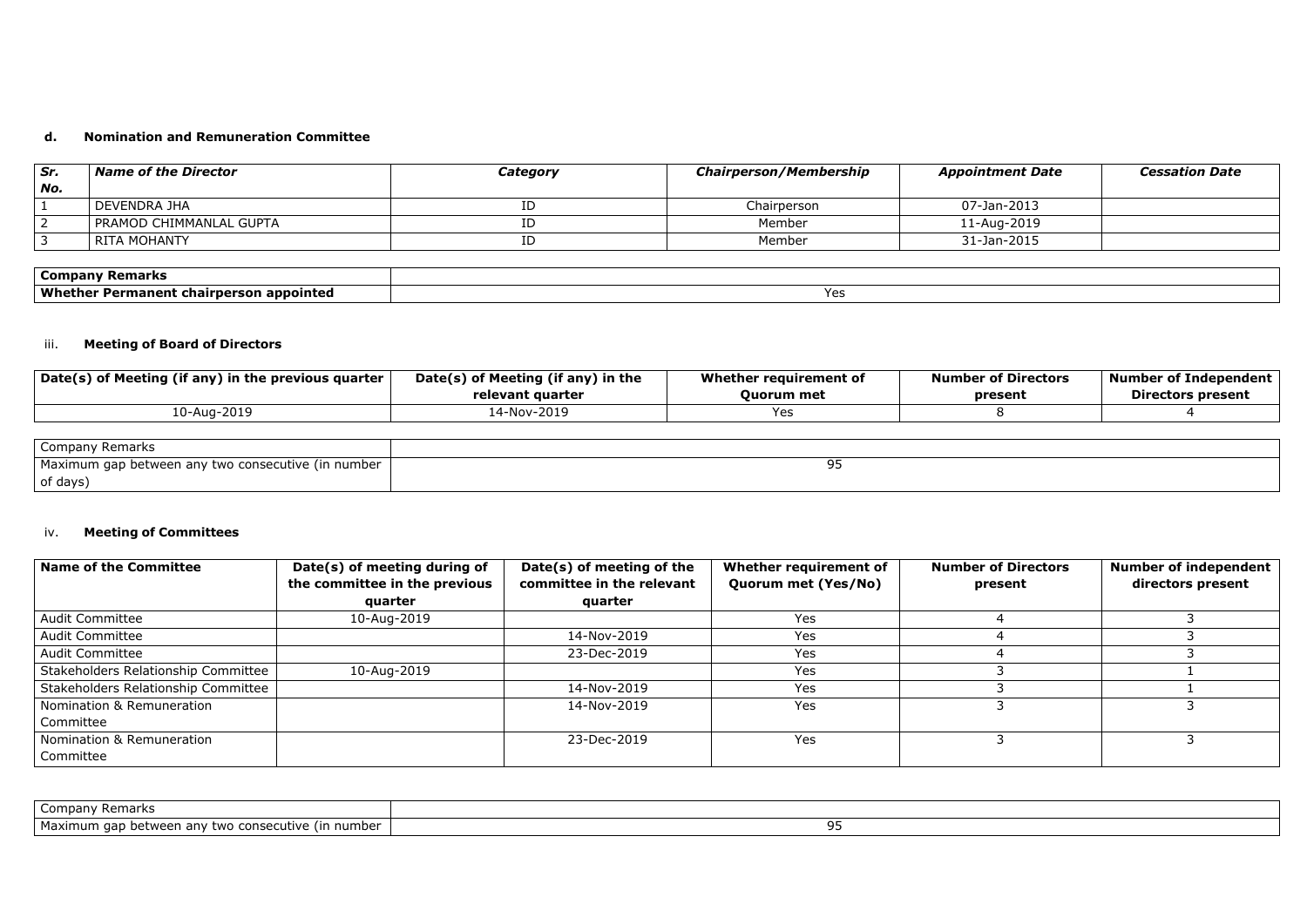#### **d. Nomination and Remuneration Committee**

| Sr.    | Name of the Director    | Category | <b>Chairperson/Membership</b> | <b>Appointment Date</b> | <b>Cessation Date</b> |
|--------|-------------------------|----------|-------------------------------|-------------------------|-----------------------|
| $N$ o. |                         |          |                               |                         |                       |
|        | DEVENDRA JHA            |          | Chairperson                   | 07-Jan-2013             |                       |
|        | PRAMOD CHIMMANLAL GUPTA |          | Member                        | 11-Aug-2019             |                       |
|        | RITA MOHANTY            | ID       | Member                        | 31-Jan-2015             |                       |

| Company<br>Remarks                                                    |               |
|-----------------------------------------------------------------------|---------------|
| Whe<br>------<br>chairperson<br>appointed<br><b>Permanent</b><br>…ner | $\sim$<br>د ب |

# iii. **Meeting of Board of Directors**

| Date(s) of Meeting (if any) in the previous quarter | Date(s) of Meeting (if any) in the | Whether requirement of | <b>Number of Directors</b> | <b>Number of Independent</b> |
|-----------------------------------------------------|------------------------------------|------------------------|----------------------------|------------------------------|
|                                                     | relevant quarter                   | <b>Ouorum</b> met      | present                    | <b>Directors present</b>     |
| 10-Aug-2019                                         | 14-Nov-2019                        | <b>Yes</b>             |                            |                              |
|                                                     |                                    |                        |                            |                              |

| <b>Company Remarks</b>                             |  |
|----------------------------------------------------|--|
| Maximum gap between any two consecutive (in number |  |
| of days)                                           |  |

### iv. **Meeting of Committees**

| <b>Name of the Committee</b>        | Date(s) of meeting during of  | Date(s) of meeting of the | Whether requirement of | <b>Number of Directors</b> | Number of independent |
|-------------------------------------|-------------------------------|---------------------------|------------------------|----------------------------|-----------------------|
|                                     | the committee in the previous | committee in the relevant | Quorum met (Yes/No)    | present                    | directors present     |
|                                     | quarter                       | quarter                   |                        |                            |                       |
| <b>Audit Committee</b>              | 10-Aug-2019                   |                           | Yes                    |                            |                       |
| <b>Audit Committee</b>              |                               | 14-Nov-2019               | Yes                    |                            |                       |
| <b>Audit Committee</b>              |                               | 23-Dec-2019               | Yes                    |                            |                       |
| Stakeholders Relationship Committee | 10-Aug-2019                   |                           | Yes                    |                            |                       |
| Stakeholders Relationship Committee |                               | 14-Nov-2019               | Yes                    |                            |                       |
| Nomination & Remuneration           |                               | 14-Nov-2019               | Yes                    |                            |                       |
| Committee                           |                               |                           |                        |                            |                       |
| Nomination & Remuneration           |                               | 23-Dec-2019               | Yes                    |                            |                       |
| Committee                           |                               |                           |                        |                            |                       |

| : Remarks<br>Company '                                                           |  |
|----------------------------------------------------------------------------------|--|
| Maxi<br>number<br>consecutive `<br>aap<br>between anv<br>l In<br>two<br>aximum c |  |

| ○ 1999年1月19日,1999年1月1日,1999年1月1日,1999年1月1日,1999年1月1日,1999年1月1日,1999年1月1日,1999年1月1 |  |  |
|-----------------------------------------------------------------------------------|--|--|
|                                                                                   |  |  |
|                                                                                   |  |  |
|                                                                                   |  |  |
|                                                                                   |  |  |
|                                                                                   |  |  |
|                                                                                   |  |  |
|                                                                                   |  |  |
|                                                                                   |  |  |